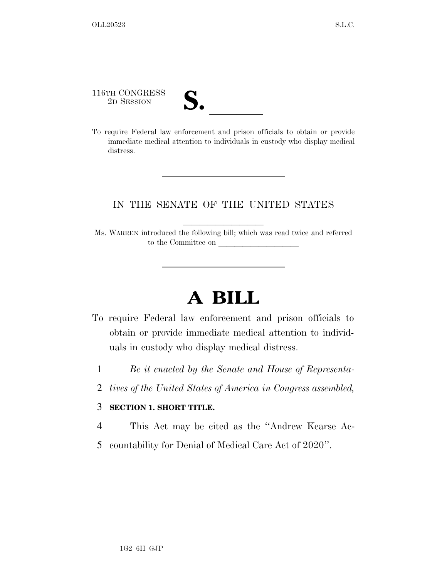116TH CONGRESS

116TH CONGRESS<br>
2D SESSION<br>
To require Federal law enforcement and prison officials to obtain or provide immediate medical attention to individuals in custody who display medical distress.

## IN THE SENATE OF THE UNITED STATES

Ms. WARREN introduced the following bill; which was read twice and referred to the Committee on

## **A BILL**

- To require Federal law enforcement and prison officials to obtain or provide immediate medical attention to individuals in custody who display medical distress.
	- 1 *Be it enacted by the Senate and House of Representa-*
	- 2 *tives of the United States of America in Congress assembled,*

## 3 **SECTION 1. SHORT TITLE.**

- 4 This Act may be cited as the ''Andrew Kearse Ac-
- 5 countability for Denial of Medical Care Act of 2020''.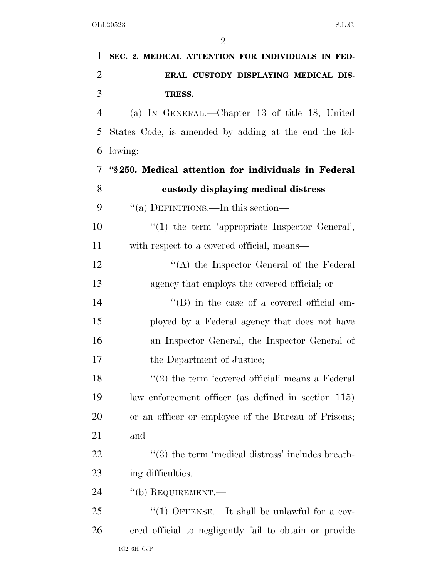| 1              | SEC. 2. MEDICAL ATTENTION FOR INDIVIDUALS IN FED-                 |
|----------------|-------------------------------------------------------------------|
| $\overline{2}$ | ERAL CUSTODY DISPLAYING MEDICAL DIS-                              |
| 3              | TRESS.                                                            |
| $\overline{4}$ | (a) IN GENERAL.—Chapter 13 of title 18, United                    |
| 5              | States Code, is amended by adding at the end the fol-             |
| 6              | lowing:                                                           |
| 7              | "\\$250. Medical attention for individuals in Federal             |
| 8              | custody displaying medical distress                               |
| 9              | "(a) DEFINITIONS.—In this section—                                |
| 10             | $\lq(1)$ the term 'appropriate Inspector General',                |
| 11             | with respect to a covered official, means—                        |
| 12             | "(A) the Inspector General of the Federal                         |
| 13             | agency that employs the covered official; or                      |
| 14             | $\lq\lq (B)$ in the case of a covered official em-                |
| 15             | ployed by a Federal agency that does not have                     |
| 16             | an Inspector General, the Inspector General of                    |
| 17             | the Department of Justice;                                        |
| 18             | $\lq(2)$ the term 'covered official' means a Federal              |
| 19             | law enforcement officer (as defined in section 115)               |
| 20             | or an officer or employee of the Bureau of Prisons;               |
| 21             | and                                                               |
| 22             | $\cdot\cdot\cdot(3)$ the term 'medical distress' includes breath- |
| 23             | ing difficulties.                                                 |
| 24             | $``$ (b) REQUIREMENT.—                                            |
| 25             | "(1) OFFENSE.—It shall be unlawful for a cov-                     |
| 26             | ered official to negligently fail to obtain or provide            |
|                | $1{\rm G2}$ 6H ${\rm GJP}$                                        |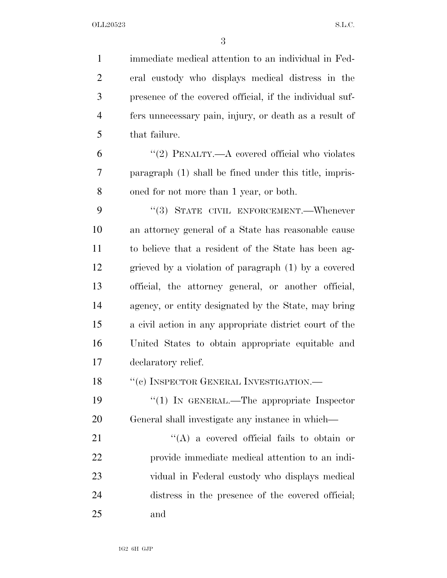immediate medical attention to an individual in Fed- eral custody who displays medical distress in the presence of the covered official, if the individual suf- fers unnecessary pain, injury, or death as a result of that failure.

 ''(2) PENALTY.—A covered official who violates paragraph (1) shall be fined under this title, impris-oned for not more than 1 year, or both.

9 "(3) STATE CIVIL ENFORCEMENT.—Whenever an attorney general of a State has reasonable cause to believe that a resident of the State has been ag- grieved by a violation of paragraph (1) by a covered official, the attorney general, or another official, agency, or entity designated by the State, may bring a civil action in any appropriate district court of the United States to obtain appropriate equitable and declaratory relief.

18 "(c) INSPECTOR GENERAL INVESTIGATION.—

19 "(1) IN GENERAL.—The appropriate Inspector General shall investigate any instance in which—

21 ''(A) a covered official fails to obtain or provide immediate medical attention to an indi- vidual in Federal custody who displays medical distress in the presence of the covered official; and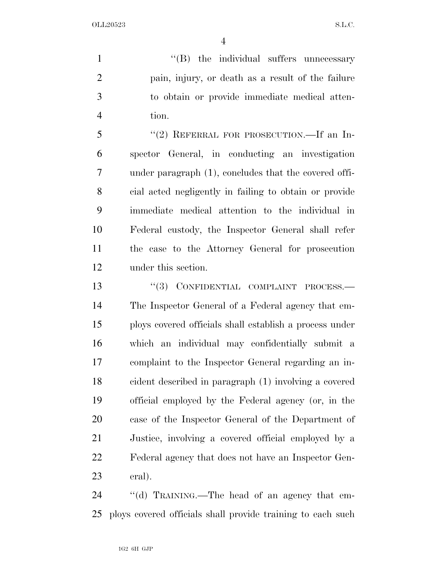OLL20523 S.L.C.

 $''(B)$  the individual suffers unnecessary pain, injury, or death as a result of the failure to obtain or provide immediate medical atten-tion.

 ''(2) REFERRAL FOR PROSECUTION.—If an In- spector General, in conducting an investigation under paragraph (1), concludes that the covered offi- cial acted negligently in failing to obtain or provide immediate medical attention to the individual in Federal custody, the Inspector General shall refer the case to the Attorney General for prosecution under this section.

13 "(3) CONFIDENTIAL COMPLAINT PROCESS.— The Inspector General of a Federal agency that em- ploys covered officials shall establish a process under which an individual may confidentially submit a complaint to the Inspector General regarding an in- cident described in paragraph (1) involving a covered official employed by the Federal agency (or, in the case of the Inspector General of the Department of Justice, involving a covered official employed by a Federal agency that does not have an Inspector Gen-eral).

24 "(d) TRAINING.—The head of an agency that em-ploys covered officials shall provide training to each such